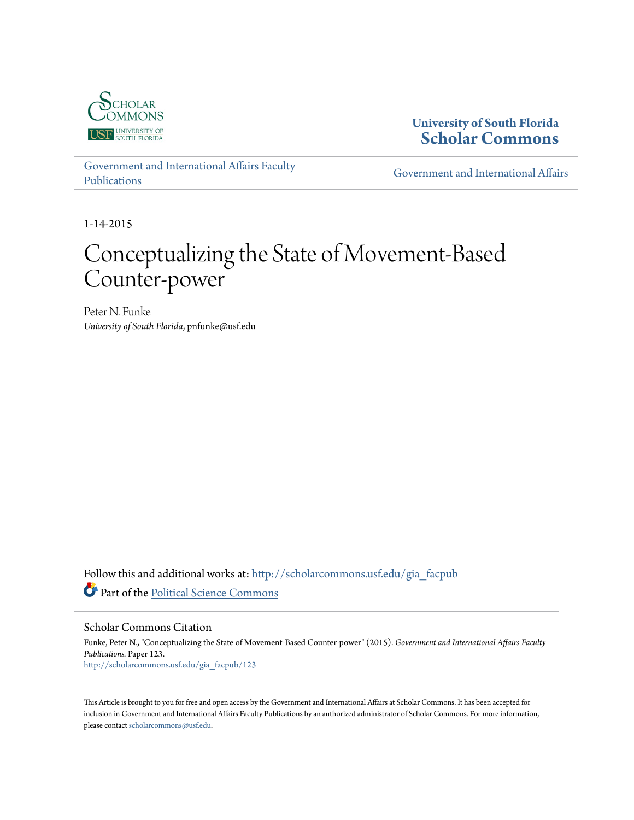

**University of South Florida [Scholar Commons](http://scholarcommons.usf.edu?utm_source=scholarcommons.usf.edu%2Fgia_facpub%2F123&utm_medium=PDF&utm_campaign=PDFCoverPages)**

[Government and International Affairs Faculty](http://scholarcommons.usf.edu/gia_facpub?utm_source=scholarcommons.usf.edu%2Fgia_facpub%2F123&utm_medium=PDF&utm_campaign=PDFCoverPages) [Publications](http://scholarcommons.usf.edu/gia_facpub?utm_source=scholarcommons.usf.edu%2Fgia_facpub%2F123&utm_medium=PDF&utm_campaign=PDFCoverPages)

[Government and International Affairs](http://scholarcommons.usf.edu/gia?utm_source=scholarcommons.usf.edu%2Fgia_facpub%2F123&utm_medium=PDF&utm_campaign=PDFCoverPages)

1-14-2015

# Conceptualizing the State of Movement-Based Counter-power

Peter N. Funke *University of South Florida*, pnfunke@usf.edu

Follow this and additional works at: [http://scholarcommons.usf.edu/gia\\_facpub](http://scholarcommons.usf.edu/gia_facpub?utm_source=scholarcommons.usf.edu%2Fgia_facpub%2F123&utm_medium=PDF&utm_campaign=PDFCoverPages) Part of the [Political Science Commons](http://network.bepress.com/hgg/discipline/386?utm_source=scholarcommons.usf.edu%2Fgia_facpub%2F123&utm_medium=PDF&utm_campaign=PDFCoverPages)

Scholar Commons Citation

Funke, Peter N., "Conceptualizing the State of Movement-Based Counter-power" (2015). *Government and International Affairs Faculty Publications.* Paper 123. [http://scholarcommons.usf.edu/gia\\_facpub/123](http://scholarcommons.usf.edu/gia_facpub/123?utm_source=scholarcommons.usf.edu%2Fgia_facpub%2F123&utm_medium=PDF&utm_campaign=PDFCoverPages)

This Article is brought to you for free and open access by the Government and International Affairs at Scholar Commons. It has been accepted for inclusion in Government and International Affairs Faculty Publications by an authorized administrator of Scholar Commons. For more information, please contact [scholarcommons@usf.edu.](mailto:scholarcommons@usf.edu)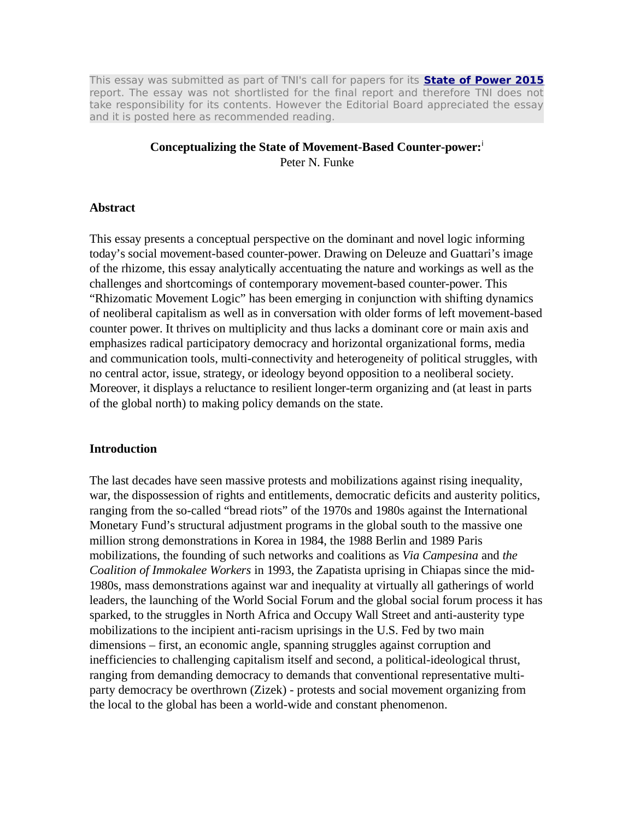This essay was submitted as part of TNI's call for papers for its **State of Power 2015** report. The essay was not shortlisted for the final report and therefore TNI does not take responsibility for its contents. However the Editorial Board appreciated the essay and it is posted here as recommended reading.

#### **Conceptualizing the State of Movement-Based Counter-power:**<sup>i</sup>

Peter N. Funke

#### **Abstract**

This essay presents a conceptual perspective on the dominant and novel logic informing today's social movement-based counter-power. Drawing on Deleuze and Guattari's image of the rhizome, this essay analytically accentuating the nature and workings as well as the challenges and shortcomings of contemporary movement-based counter-power. This "Rhizomatic Movement Logic" has been emerging in conjunction with shifting dynamics of neoliberal capitalism as well as in conversation with older forms of left movement-based counter power. It thrives on multiplicity and thus lacks a dominant core or main axis and emphasizes radical participatory democracy and horizontal organizational forms, media and communication tools, multi-connectivity and heterogeneity of political struggles, with no central actor, issue, strategy, or ideology beyond opposition to a neoliberal society. Moreover, it displays a reluctance to resilient longer-term organizing and (at least in parts of the global north) to making policy demands on the state.

## **Introduction**

The last decades have seen massive protests and mobilizations against rising inequality, war, the dispossession of rights and entitlements, democratic deficits and austerity politics, ranging from the so-called "bread riots" of the 1970s and 1980s against the International Monetary Fund's structural adjustment programs in the global south to the massive one million strong demonstrations in Korea in 1984, the 1988 Berlin and 1989 Paris mobilizations, the founding of such networks and coalitions as *Via Campesina* and *the Coalition of Immokalee Workers* in 1993, the Zapatista uprising in Chiapas since the mid-1980s, mass demonstrations against war and inequality at virtually all gatherings of world leaders, the launching of the World Social Forum and the global social forum process it has sparked, to the struggles in North Africa and Occupy Wall Street and anti-austerity type mobilizations to the incipient anti-racism uprisings in the U.S. Fed by two main dimensions – first, an economic angle, spanning struggles against corruption and inefficiencies to challenging capitalism itself and second, a political-ideological thrust, ranging from demanding democracy to demands that conventional representative multiparty democracy be overthrown (Zizek) - protests and social movement organizing from the local to the global has been a world-wide and constant phenomenon.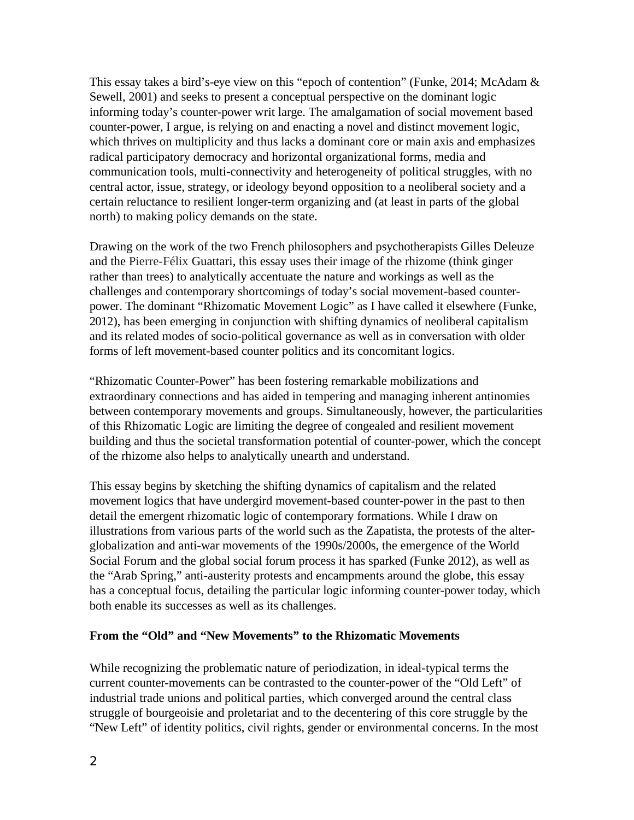This essay takes a bird's-eye view on this "epoch of contention" (Funke, 2014; McAdam & Sewell, 2001) and seeks to present a conceptual perspective on the dominant logic informing today's counter-power writ large. The amalgamation of social movement based counter-power, I argue, is relying on and enacting a novel and distinct movement logic, which thrives on multiplicity and thus lacks a dominant core or main axis and emphasizes radical participatory democracy and horizontal organizational forms, media and communication tools, multi-connectivity and heterogeneity of political struggles, with no central actor, issue, strategy, or ideology beyond opposition to a neoliberal society and a certain reluctance to resilient longer-term organizing and (at least in parts of the global north) to making policy demands on the state.

Drawing on the work of the two French philosophers and psychotherapists Gilles Deleuze and the Pierre-Félix Guattari, this essay uses their image of the rhizome (think ginger rather than trees) to analytically accentuate the nature and workings as well as the challenges and contemporary shortcomings of today's social movement-based counterpower. The dominant "Rhizomatic Movement Logic" as I have called it elsewhere (Funke, 2012), has been emerging in conjunction with shifting dynamics of neoliberal capitalism and its related modes of socio-political governance as well as in conversation with older forms of left movement-based counter politics and its concomitant logics.

"Rhizomatic Counter-Power" has been fostering remarkable mobilizations and extraordinary connections and has aided in tempering and managing inherent antinomies between contemporary movements and groups. Simultaneously, however, the particularities of this Rhizomatic Logic are limiting the degree of congealed and resilient movement building and thus the societal transformation potential of counter-power, which the concept of the rhizome also helps to analytically unearth and understand.

This essay begins by sketching the shifting dynamics of capitalism and the related movement logics that have undergird movement-based counter-power in the past to then detail the emergent rhizomatic logic of contemporary formations. While I draw on illustrations from various parts of the world such as the Zapatista, the protests of the alterglobalization and anti-war movements of the 1990s/2000s, the emergence of the World Social Forum and the global social forum process it has sparked (Funke 2012), as well as the "Arab Spring," anti-austerity protests and encampments around the globe, this essay has a conceptual focus, detailing the particular logic informing counter-power today, which both enable its successes as well as its challenges.

# **From the "Old" and "New Movements" to the Rhizomatic Movements**

While recognizing the problematic nature of periodization, in ideal-typical terms the current counter-movements can be contrasted to the counter-power of the "Old Left" of industrial trade unions and political parties, which converged around the central class struggle of bourgeoisie and proletariat and to the decentering of this core struggle by the "New Left" of identity politics, civil rights, gender or environmental concerns. In the most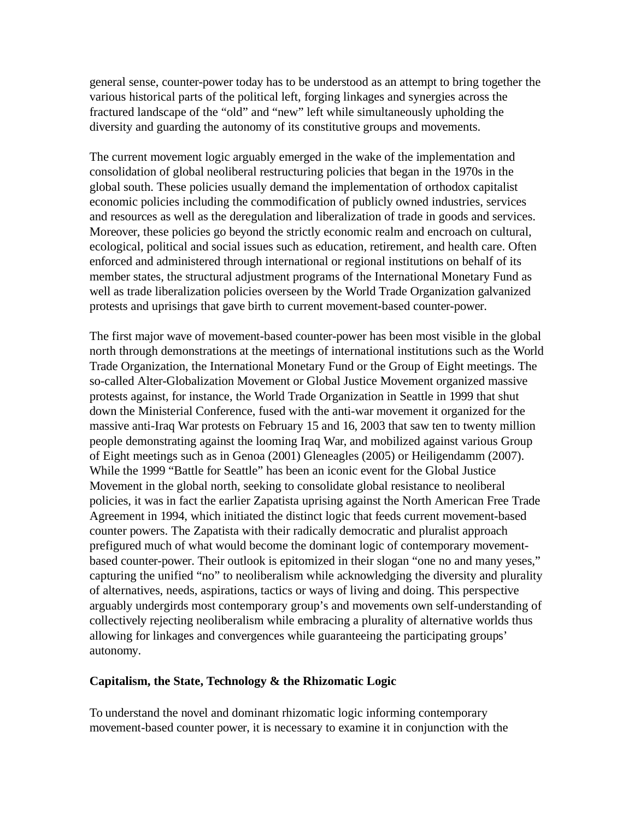general sense, counter-power today has to be understood as an attempt to bring together the various historical parts of the political left, forging linkages and synergies across the fractured landscape of the "old" and "new" left while simultaneously upholding the diversity and guarding the autonomy of its constitutive groups and movements.

The current movement logic arguably emerged in the wake of the implementation and consolidation of global neoliberal restructuring policies that began in the 1970s in the global south. These policies usually demand the implementation of orthodox capitalist economic policies including the commodification of publicly owned industries, services and resources as well as the deregulation and liberalization of trade in goods and services. Moreover, these policies go beyond the strictly economic realm and encroach on cultural, ecological, political and social issues such as education, retirement, and health care. Often enforced and administered through international or regional institutions on behalf of its member states, the structural adjustment programs of the International Monetary Fund as well as trade liberalization policies overseen by the World Trade Organization galvanized protests and uprisings that gave birth to current movement-based counter-power.

The first major wave of movement-based counter-power has been most visible in the global north through demonstrations at the meetings of international institutions such as the World Trade Organization, the International Monetary Fund or the Group of Eight meetings. The so-called Alter-Globalization Movement or Global Justice Movement organized massive protests against, for instance, the World Trade Organization in Seattle in 1999 that shut down the Ministerial Conference, fused with the anti-war movement it organized for the massive anti-Iraq War protests on February 15 and 16, 2003 that saw ten to twenty million people demonstrating against the looming Iraq War, and mobilized against various Group of Eight meetings such as in Genoa (2001) Gleneagles (2005) or Heiligendamm (2007). While the 1999 "Battle for Seattle" has been an iconic event for the Global Justice Movement in the global north, seeking to consolidate global resistance to neoliberal policies, it was in fact the earlier Zapatista uprising against the North American Free Trade Agreement in 1994, which initiated the distinct logic that feeds current movement-based counter powers. The Zapatista with their radically democratic and pluralist approach prefigured much of what would become the dominant logic of contemporary movementbased counter-power. Their outlook is epitomized in their slogan "one no and many yeses," capturing the unified "no" to neoliberalism while acknowledging the diversity and plurality of alternatives, needs, aspirations, tactics or ways of living and doing. This perspective arguably undergirds most contemporary group's and movements own self-understanding of collectively rejecting neoliberalism while embracing a plurality of alternative worlds thus allowing for linkages and convergences while guaranteeing the participating groups' autonomy.

## **Capitalism, the State, Technology & the Rhizomatic Logic**

To understand the novel and dominant rhizomatic logic informing contemporary movement-based counter power, it is necessary to examine it in conjunction with the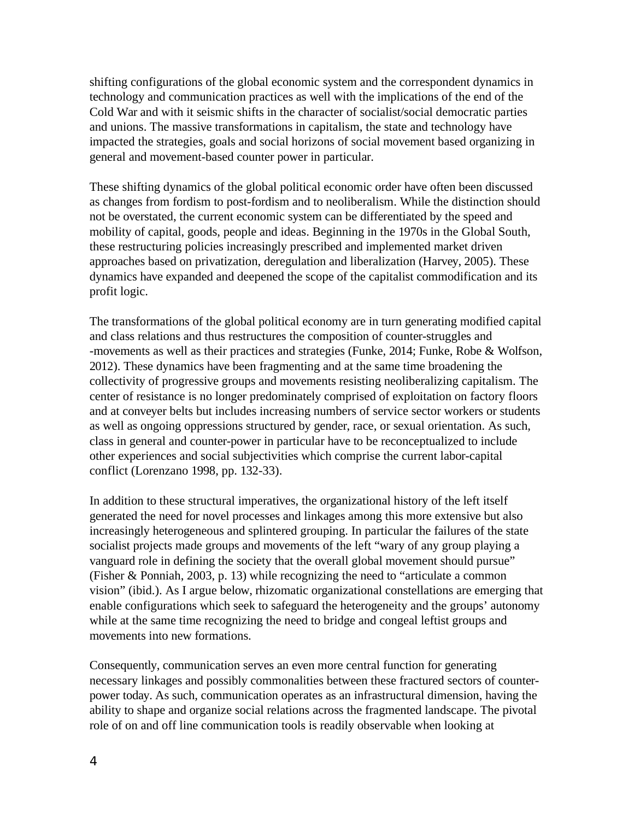shifting configurations of the global economic system and the correspondent dynamics in technology and communication practices as well with the implications of the end of the Cold War and with it seismic shifts in the character of socialist/social democratic parties and unions. The massive transformations in capitalism, the state and technology have impacted the strategies, goals and social horizons of social movement based organizing in general and movement-based counter power in particular.

These shifting dynamics of the global political economic order have often been discussed as changes from fordism to post-fordism and to neoliberalism. While the distinction should not be overstated, the current economic system can be differentiated by the speed and mobility of capital, goods, people and ideas. Beginning in the 1970s in the Global South, these restructuring policies increasingly prescribed and implemented market driven approaches based on privatization, deregulation and liberalization (Harvey, 2005). These dynamics have expanded and deepened the scope of the capitalist commodification and its profit logic.

The transformations of the global political economy are in turn generating modified capital and class relations and thus restructures the composition of counter-struggles and -movements as well as their practices and strategies (Funke, 2014; Funke, Robe & Wolfson, 2012). These dynamics have been fragmenting and at the same time broadening the collectivity of progressive groups and movements resisting neoliberalizing capitalism. The center of resistance is no longer predominately comprised of exploitation on factory floors and at conveyer belts but includes increasing numbers of service sector workers or students as well as ongoing oppressions structured by gender, race, or sexual orientation. As such, class in general and counter-power in particular have to be reconceptualized to include other experiences and social subjectivities which comprise the current labor-capital conflict (Lorenzano 1998, pp. 132-33).

In addition to these structural imperatives, the organizational history of the left itself generated the need for novel processes and linkages among this more extensive but also increasingly heterogeneous and splintered grouping. In particular the failures of the state socialist projects made groups and movements of the left "wary of any group playing a vanguard role in defining the society that the overall global movement should pursue" (Fisher & Ponniah, 2003, p. 13) while recognizing the need to "articulate a common vision" (ibid.). As I argue below, rhizomatic organizational constellations are emerging that enable configurations which seek to safeguard the heterogeneity and the groups' autonomy while at the same time recognizing the need to bridge and congeal leftist groups and movements into new formations.

Consequently, communication serves an even more central function for generating necessary linkages and possibly commonalities between these fractured sectors of counterpower today. As such, communication operates as an infrastructural dimension, having the ability to shape and organize social relations across the fragmented landscape. The pivotal role of on and off line communication tools is readily observable when looking at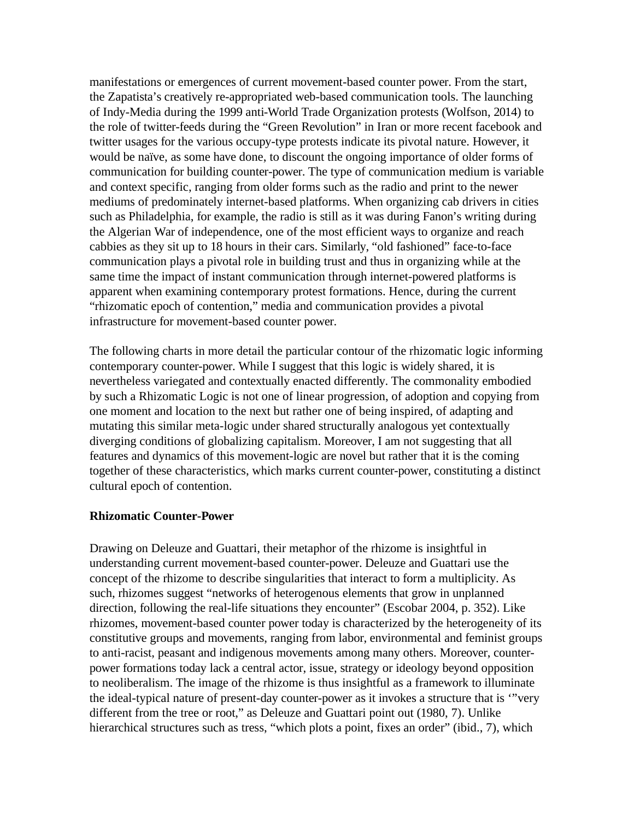manifestations or emergences of current movement-based counter power. From the start, the Zapatista's creatively re-appropriated web-based communication tools. The launching of Indy-Media during the 1999 anti-World Trade Organization protests (Wolfson, 2014) to the role of twitter-feeds during the "Green Revolution" in Iran or more recent facebook and twitter usages for the various occupy-type protests indicate its pivotal nature. However, it would be naïve, as some have done, to discount the ongoing importance of older forms of communication for building counter-power. The type of communication medium is variable and context specific, ranging from older forms such as the radio and print to the newer mediums of predominately internet-based platforms. When organizing cab drivers in cities such as Philadelphia, for example, the radio is still as it was during Fanon's writing during the Algerian War of independence, one of the most efficient ways to organize and reach cabbies as they sit up to 18 hours in their cars. Similarly, "old fashioned" face-to-face communication plays a pivotal role in building trust and thus in organizing while at the same time the impact of instant communication through internet-powered platforms is apparent when examining contemporary protest formations. Hence, during the current "rhizomatic epoch of contention," media and communication provides a pivotal infrastructure for movement-based counter power.

The following charts in more detail the particular contour of the rhizomatic logic informing contemporary counter-power. While I suggest that this logic is widely shared, it is nevertheless variegated and contextually enacted differently. The commonality embodied by such a Rhizomatic Logic is not one of linear progression, of adoption and copying from one moment and location to the next but rather one of being inspired, of adapting and mutating this similar meta-logic under shared structurally analogous yet contextually diverging conditions of globalizing capitalism. Moreover, I am not suggesting that all features and dynamics of this movement-logic are novel but rather that it is the coming together of these characteristics, which marks current counter-power, constituting a distinct cultural epoch of contention.

#### **Rhizomatic Counter-Power**

Drawing on Deleuze and Guattari, their metaphor of the rhizome is insightful in understanding current movement-based counter-power. Deleuze and Guattari use the concept of the rhizome to describe singularities that interact to form a multiplicity. As such, rhizomes suggest "networks of heterogenous elements that grow in unplanned direction, following the real-life situations they encounter" (Escobar 2004, p. 352). Like rhizomes, movement-based counter power today is characterized by the heterogeneity of its constitutive groups and movements, ranging from labor, environmental and feminist groups to anti-racist, peasant and indigenous movements among many others. Moreover, counterpower formations today lack a central actor, issue, strategy or ideology beyond opposition to neoliberalism. The image of the rhizome is thus insightful as a framework to illuminate the ideal-typical nature of present-day counter-power as it invokes a structure that is '"very different from the tree or root," as Deleuze and Guattari point out (1980, 7). Unlike hierarchical structures such as tress, "which plots a point, fixes an order" (ibid., 7), which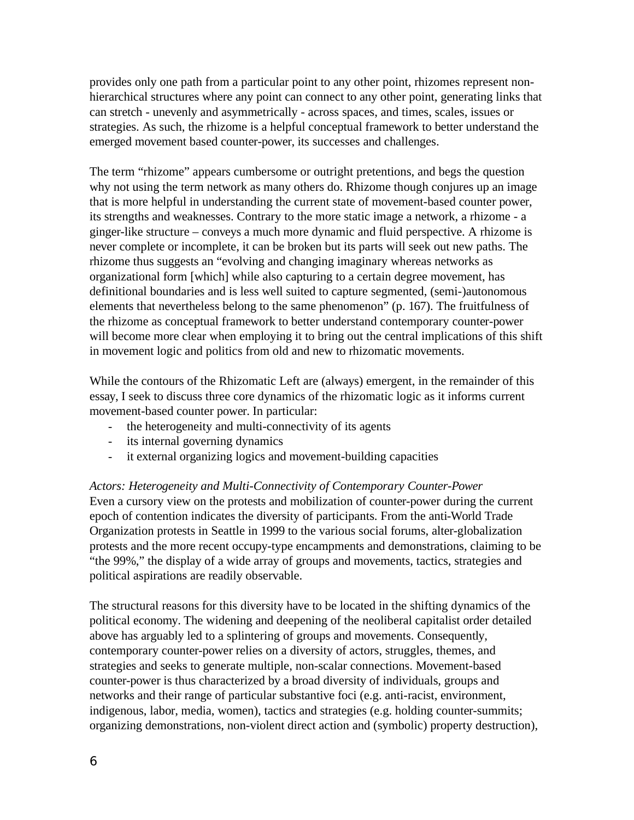provides only one path from a particular point to any other point, rhizomes represent nonhierarchical structures where any point can connect to any other point, generating links that can stretch - unevenly and asymmetrically - across spaces, and times, scales, issues or strategies. As such, the rhizome is a helpful conceptual framework to better understand the emerged movement based counter-power, its successes and challenges.

The term "rhizome" appears cumbersome or outright pretentions, and begs the question why not using the term network as many others do. Rhizome though conjures up an image that is more helpful in understanding the current state of movement-based counter power, its strengths and weaknesses. Contrary to the more static image a network, a rhizome - a ginger-like structure – conveys a much more dynamic and fluid perspective. A rhizome is never complete or incomplete, it can be broken but its parts will seek out new paths. The rhizome thus suggests an "evolving and changing imaginary whereas networks as organizational form [which] while also capturing to a certain degree movement, has definitional boundaries and is less well suited to capture segmented, (semi-)autonomous elements that nevertheless belong to the same phenomenon" (p. 167). The fruitfulness of the rhizome as conceptual framework to better understand contemporary counter-power will become more clear when employing it to bring out the central implications of this shift in movement logic and politics from old and new to rhizomatic movements.

While the contours of the Rhizomatic Left are (always) emergent, in the remainder of this essay, I seek to discuss three core dynamics of the rhizomatic logic as it informs current movement-based counter power. In particular:

- the heterogeneity and multi-connectivity of its agents
- its internal governing dynamics
- it external organizing logics and movement-building capacities

*Actors: Heterogeneity and Multi-Connectivity of Contemporary Counter-Power* Even a cursory view on the protests and mobilization of counter-power during the current epoch of contention indicates the diversity of participants. From the anti-World Trade Organization protests in Seattle in 1999 to the various social forums, alter-globalization protests and the more recent occupy-type encampments and demonstrations, claiming to be "the 99%," the display of a wide array of groups and movements, tactics, strategies and political aspirations are readily observable.

The structural reasons for this diversity have to be located in the shifting dynamics of the political economy. The widening and deepening of the neoliberal capitalist order detailed above has arguably led to a splintering of groups and movements. Consequently, contemporary counter-power relies on a diversity of actors, struggles, themes, and strategies and seeks to generate multiple, non-scalar connections. Movement-based counter-power is thus characterized by a broad diversity of individuals, groups and networks and their range of particular substantive foci (e.g. anti-racist, environment, indigenous, labor, media, women), tactics and strategies (e.g. holding counter-summits; organizing demonstrations, non-violent direct action and (symbolic) property destruction),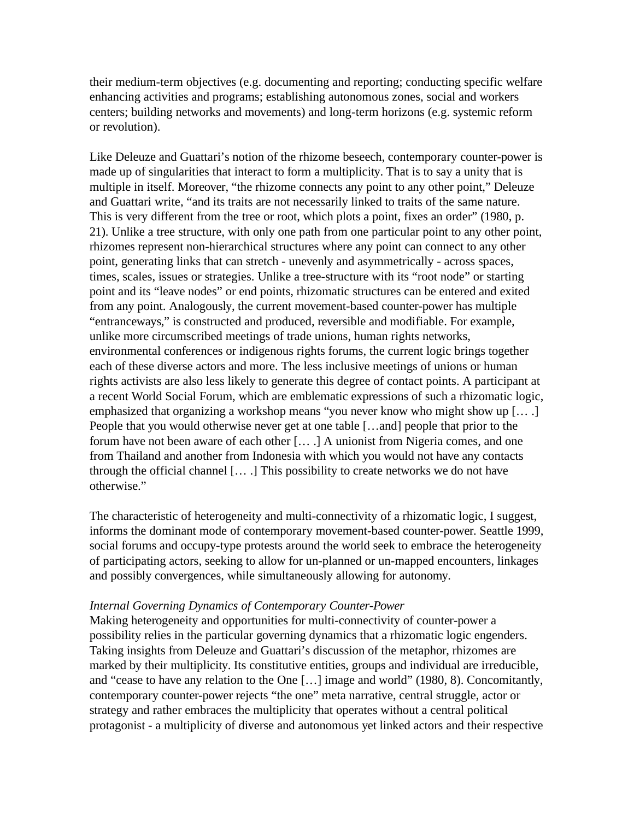their medium-term objectives (e.g. documenting and reporting; conducting specific welfare enhancing activities and programs; establishing autonomous zones, social and workers centers; building networks and movements) and long-term horizons (e.g. systemic reform or revolution).

Like Deleuze and Guattari's notion of the rhizome beseech, contemporary counter-power is made up of singularities that interact to form a multiplicity. That is to say a unity that is multiple in itself. Moreover, "the rhizome connects any point to any other point," Deleuze and Guattari write, "and its traits are not necessarily linked to traits of the same nature. This is very different from the tree or root, which plots a point, fixes an order" (1980, p. 21). Unlike a tree structure, with only one path from one particular point to any other point, rhizomes represent non-hierarchical structures where any point can connect to any other point, generating links that can stretch - unevenly and asymmetrically - across spaces, times, scales, issues or strategies. Unlike a tree-structure with its "root node" or starting point and its "leave nodes" or end points, rhizomatic structures can be entered and exited from any point. Analogously, the current movement-based counter-power has multiple "entranceways," is constructed and produced, reversible and modifiable. For example, unlike more circumscribed meetings of trade unions, human rights networks, environmental conferences or indigenous rights forums, the current logic brings together each of these diverse actors and more. The less inclusive meetings of unions or human rights activists are also less likely to generate this degree of contact points. A participant at a recent World Social Forum, which are emblematic expressions of such a rhizomatic logic, emphasized that organizing a workshop means "you never know who might show up [… .] People that you would otherwise never get at one table […and] people that prior to the forum have not been aware of each other [… .] A unionist from Nigeria comes, and one from Thailand and another from Indonesia with which you would not have any contacts through the official channel [… .] This possibility to create networks we do not have otherwise."

The characteristic of heterogeneity and multi-connectivity of a rhizomatic logic, I suggest, informs the dominant mode of contemporary movement-based counter-power. Seattle 1999, social forums and occupy-type protests around the world seek to embrace the heterogeneity of participating actors, seeking to allow for un-planned or un-mapped encounters, linkages and possibly convergences, while simultaneously allowing for autonomy.

#### *Internal Governing Dynamics of Contemporary Counter-Power*

Making heterogeneity and opportunities for multi-connectivity of counter-power a possibility relies in the particular governing dynamics that a rhizomatic logic engenders. Taking insights from Deleuze and Guattari's discussion of the metaphor, rhizomes are marked by their multiplicity. Its constitutive entities, groups and individual are irreducible, and "cease to have any relation to the One […] image and world" (1980, 8). Concomitantly, contemporary counter-power rejects "the one" meta narrative, central struggle, actor or strategy and rather embraces the multiplicity that operates without a central political protagonist - a multiplicity of diverse and autonomous yet linked actors and their respective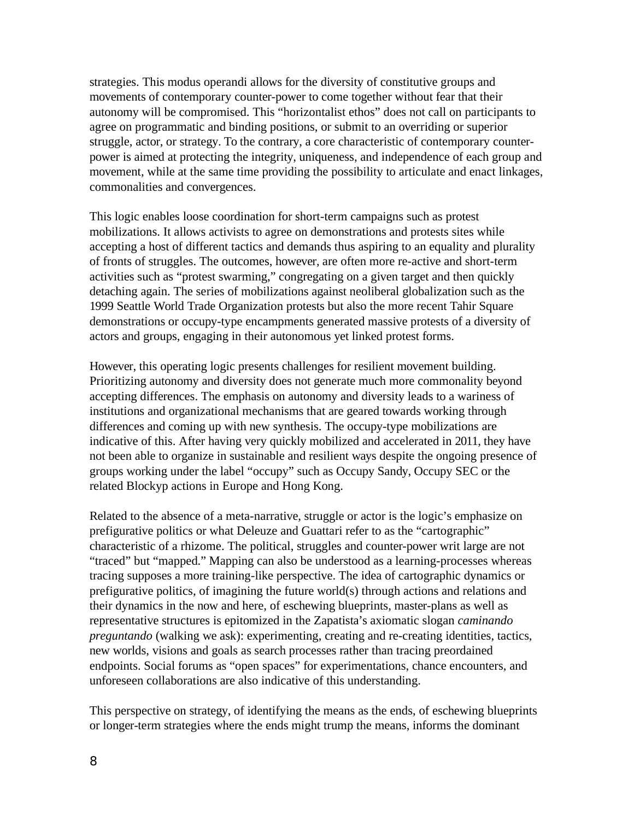strategies. This modus operandi allows for the diversity of constitutive groups and movements of contemporary counter-power to come together without fear that their autonomy will be compromised. This "horizontalist ethos" does not call on participants to agree on programmatic and binding positions, or submit to an overriding or superior struggle, actor, or strategy. To the contrary, a core characteristic of contemporary counterpower is aimed at protecting the integrity, uniqueness, and independence of each group and movement, while at the same time providing the possibility to articulate and enact linkages, commonalities and convergences.

This logic enables loose coordination for short-term campaigns such as protest mobilizations. It allows activists to agree on demonstrations and protests sites while accepting a host of different tactics and demands thus aspiring to an equality and plurality of fronts of struggles. The outcomes, however, are often more re-active and short-term activities such as "protest swarming," congregating on a given target and then quickly detaching again. The series of mobilizations against neoliberal globalization such as the 1999 Seattle World Trade Organization protests but also the more recent Tahir Square demonstrations or occupy-type encampments generated massive protests of a diversity of actors and groups, engaging in their autonomous yet linked protest forms.

However, this operating logic presents challenges for resilient movement building. Prioritizing autonomy and diversity does not generate much more commonality beyond accepting differences. The emphasis on autonomy and diversity leads to a wariness of institutions and organizational mechanisms that are geared towards working through differences and coming up with new synthesis. The occupy-type mobilizations are indicative of this. After having very quickly mobilized and accelerated in 2011, they have not been able to organize in sustainable and resilient ways despite the ongoing presence of groups working under the label "occupy" such as Occupy Sandy, Occupy SEC or the related Blockyp actions in Europe and Hong Kong.

Related to the absence of a meta-narrative, struggle or actor is the logic's emphasize on prefigurative politics or what Deleuze and Guattari refer to as the "cartographic" characteristic of a rhizome. The political, struggles and counter-power writ large are not "traced" but "mapped." Mapping can also be understood as a learning-processes whereas tracing supposes a more training-like perspective. The idea of cartographic dynamics or prefigurative politics, of imagining the future world(s) through actions and relations and their dynamics in the now and here, of eschewing blueprints, master-plans as well as representative structures is epitomized in the Zapatista's axiomatic slogan *caminando preguntando* (walking we ask): experimenting, creating and re-creating identities, tactics, new worlds, visions and goals as search processes rather than tracing preordained endpoints. Social forums as "open spaces" for experimentations, chance encounters, and unforeseen collaborations are also indicative of this understanding.

This perspective on strategy, of identifying the means as the ends, of eschewing blueprints or longer-term strategies where the ends might trump the means, informs the dominant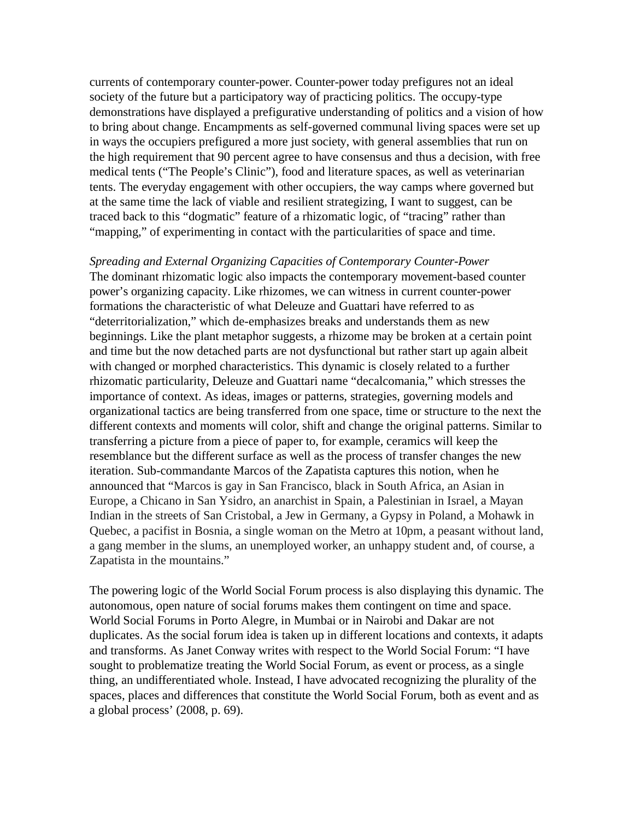currents of contemporary counter-power. Counter-power today prefigures not an ideal society of the future but a participatory way of practicing politics. The occupy-type demonstrations have displayed a prefigurative understanding of politics and a vision of how to bring about change. Encampments as self-governed communal living spaces were set up in ways the occupiers prefigured a more just society, with general assemblies that run on the high requirement that 90 percent agree to have consensus and thus a decision, with free medical tents ("The People's Clinic"), food and literature spaces, as well as veterinarian tents. The everyday engagement with other occupiers, the way camps where governed but at the same time the lack of viable and resilient strategizing, I want to suggest, can be traced back to this "dogmatic" feature of a rhizomatic logic, of "tracing" rather than "mapping," of experimenting in contact with the particularities of space and time.

*Spreading and External Organizing Capacities of Contemporary Counter-Power* The dominant rhizomatic logic also impacts the contemporary movement-based counter power's organizing capacity. Like rhizomes, we can witness in current counter-power formations the characteristic of what Deleuze and Guattari have referred to as "deterritorialization," which de-emphasizes breaks and understands them as new beginnings. Like the plant metaphor suggests, a rhizome may be broken at a certain point and time but the now detached parts are not dysfunctional but rather start up again albeit with changed or morphed characteristics. This dynamic is closely related to a further rhizomatic particularity, Deleuze and Guattari name "decalcomania," which stresses the importance of context. As ideas, images or patterns, strategies, governing models and organizational tactics are being transferred from one space, time or structure to the next the different contexts and moments will color, shift and change the original patterns. Similar to transferring a picture from a piece of paper to, for example, ceramics will keep the resemblance but the different surface as well as the process of transfer changes the new iteration. Sub-commandante Marcos of the Zapatista captures this notion, when he announced that "Marcos is gay in San Francisco, black in South Africa, an Asian in Europe, a Chicano in San Ysidro, an anarchist in Spain, a Palestinian in Israel, a Mayan Indian in the streets of San Cristobal, a Jew in Germany, a Gypsy in Poland, a Mohawk in Quebec, a pacifist in Bosnia, a single woman on the Metro at 10pm, a peasant without land, a gang member in the slums, an unemployed worker, an unhappy student and, of course, a Zapatista in the mountains."

The powering logic of the World Social Forum process is also displaying this dynamic. The autonomous, open nature of social forums makes them contingent on time and space. World Social Forums in Porto Alegre, in Mumbai or in Nairobi and Dakar are not duplicates. As the social forum idea is taken up in different locations and contexts, it adapts and transforms. As Janet Conway writes with respect to the World Social Forum: "I have sought to problematize treating the World Social Forum, as event or process, as a single thing, an undifferentiated whole. Instead, I have advocated recognizing the plurality of the spaces, places and differences that constitute the World Social Forum, both as event and as a global process' (2008, p. 69).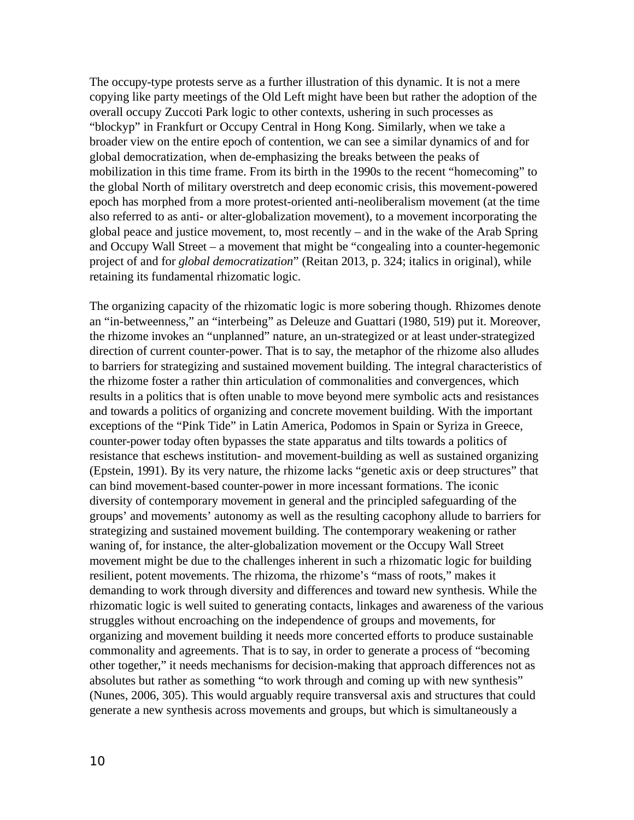The occupy-type protests serve as a further illustration of this dynamic. It is not a mere copying like party meetings of the Old Left might have been but rather the adoption of the overall occupy Zuccoti Park logic to other contexts, ushering in such processes as "blockyp" in Frankfurt or Occupy Central in Hong Kong. Similarly, when we take a broader view on the entire epoch of contention, we can see a similar dynamics of and for global democratization, when de-emphasizing the breaks between the peaks of mobilization in this time frame. From its birth in the 1990s to the recent "homecoming" to the global North of military overstretch and deep economic crisis, this movement-powered epoch has morphed from a more protest-oriented anti-neoliberalism movement (at the time also referred to as anti- or alter-globalization movement), to a movement incorporating the global peace and justice movement, to, most recently – and in the wake of the Arab Spring and Occupy Wall Street – a movement that might be "congealing into a counter-hegemonic project of and for *global democratization*" (Reitan 2013, p. 324; italics in original), while retaining its fundamental rhizomatic logic.

The organizing capacity of the rhizomatic logic is more sobering though. Rhizomes denote an "in-betweenness," an "interbeing" as Deleuze and Guattari (1980, 519) put it. Moreover, the rhizome invokes an "unplanned" nature, an un-strategized or at least under-strategized direction of current counter-power. That is to say, the metaphor of the rhizome also alludes to barriers for strategizing and sustained movement building. The integral characteristics of the rhizome foster a rather thin articulation of commonalities and convergences, which results in a politics that is often unable to move beyond mere symbolic acts and resistances and towards a politics of organizing and concrete movement building. With the important exceptions of the "Pink Tide" in Latin America, Podomos in Spain or Syriza in Greece, counter-power today often bypasses the state apparatus and tilts towards a politics of resistance that eschews institution- and movement-building as well as sustained organizing (Epstein, 1991). By its very nature, the rhizome lacks "genetic axis or deep structures" that can bind movement-based counter-power in more incessant formations. The iconic diversity of contemporary movement in general and the principled safeguarding of the groups' and movements' autonomy as well as the resulting cacophony allude to barriers for strategizing and sustained movement building. The contemporary weakening or rather waning of, for instance, the alter-globalization movement or the Occupy Wall Street movement might be due to the challenges inherent in such a rhizomatic logic for building resilient, potent movements. The rhizoma, the rhizome's "mass of roots," makes it demanding to work through diversity and differences and toward new synthesis. While the rhizomatic logic is well suited to generating contacts, linkages and awareness of the various struggles without encroaching on the independence of groups and movements, for organizing and movement building it needs more concerted efforts to produce sustainable commonality and agreements. That is to say, in order to generate a process of "becoming other together," it needs mechanisms for decision-making that approach differences not as absolutes but rather as something "to work through and coming up with new synthesis" (Nunes, 2006, 305). This would arguably require transversal axis and structures that could generate a new synthesis across movements and groups, but which is simultaneously a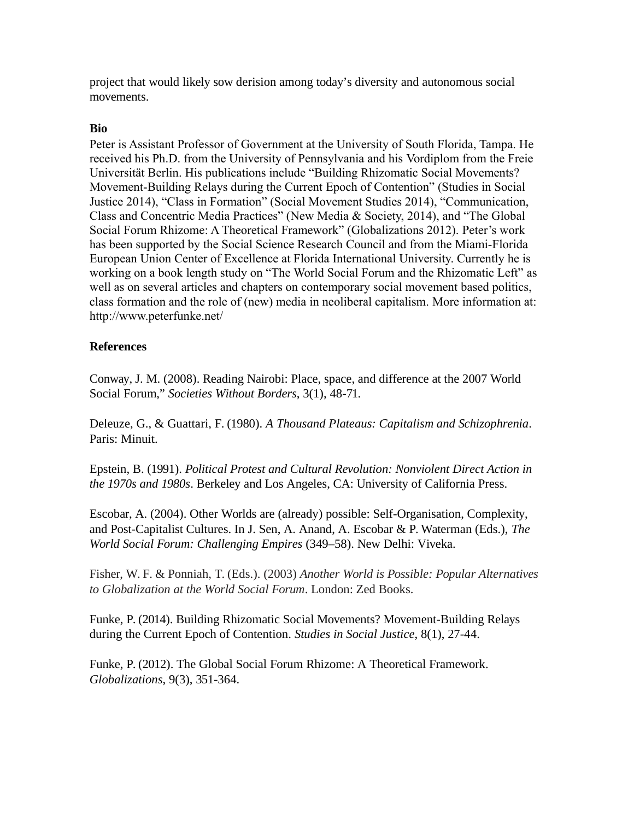project that would likely sow derision among today's diversity and autonomous social movements.

# **Bio**

Peter is Assistant Professor of Government at the University of South Florida, Tampa. He received his Ph.D. from the University of Pennsylvania and his Vordiplom from the Freie Universität Berlin. His publications include "Building Rhizomatic Social Movements? Movement-Building Relays during the Current Epoch of Contention" (Studies in Social Justice 2014), "Class in Formation" (Social Movement Studies 2014), "Communication, Class and Concentric Media Practices" (New Media & Society, 2014), and "The Global Social Forum Rhizome: A Theoretical Framework" (Globalizations 2012). Peter's work has been supported by the Social Science Research Council and from the Miami-Florida European Union Center of Excellence at Florida International University. Currently he is working on a book length study on "The World Social Forum and the Rhizomatic Left" as well as on several articles and chapters on contemporary social movement based politics, class formation and the role of (new) media in neoliberal capitalism. More information at: http://www.peterfunke.net/

# **References**

Conway, J. M. (2008). Reading Nairobi: Place, space, and difference at the 2007 World Social Forum," *Societies Without Borders*, 3(1), 48-71.

Deleuze, G., & Guattari, F. (1980). *A Thousand Plateaus: Capitalism and Schizophrenia*. Paris: Minuit.

Epstein, B. (1991). *Political Protest and Cultural Revolution: Nonviolent Direct Action in the 1970s and 1980s*. Berkeley and Los Angeles, CA: University of California Press.

Escobar, A. (2004). Other Worlds are (already) possible: Self-Organisation, Complexity, and Post-Capitalist Cultures. In J. Sen, A. Anand, A. Escobar & P. Waterman (Eds.), *The World Social Forum: Challenging Empires* (349–58). New Delhi: Viveka.

Fisher, W. F. & Ponniah, T. (Eds.). (2003) *Another World is Possible: Popular Alternatives to Globalization at the World Social Forum*. London: Zed Books.

Funke, P. (2014). Building Rhizomatic Social Movements? Movement-Building Relays during the Current Epoch of Contention. *Studies in Social Justice*, 8(1), 27-44.

Funke, P. (2012). The Global Social Forum Rhizome: A Theoretical Framework. *Globalizations*, 9(3), 351-364.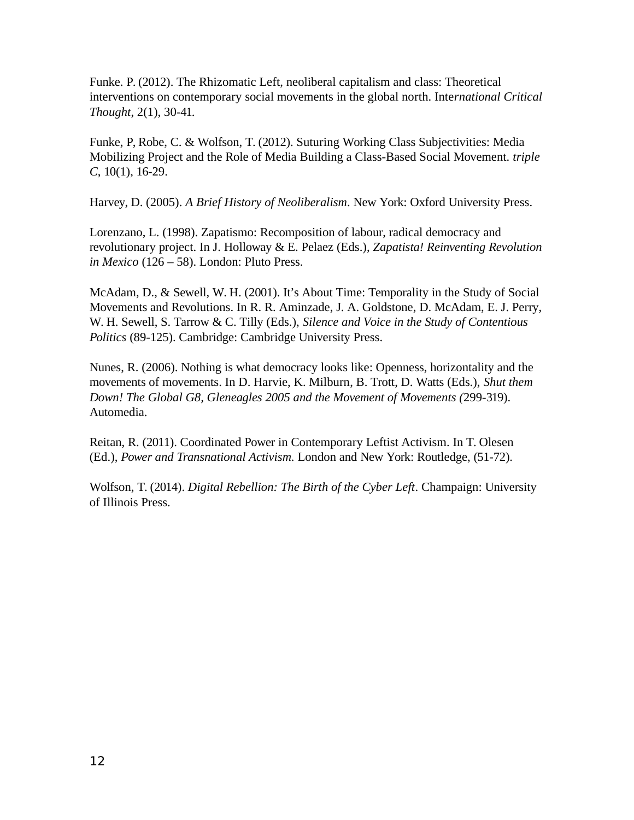Funke. P. (2012). The Rhizomatic Left, neoliberal capitalism and class: Theoretical interventions on contemporary social movements in the global north. Inte*rnational Critical Thought*, 2(1), 30-41.

Funke, P, Robe, C. & Wolfson, T. (2012). Suturing Working Class Subjectivities: Media Mobilizing Project and the Role of Media Building a Class-Based Social Movement. *triple C*, 10(1), 16-29.

Harvey, D. (2005). *A Brief History of Neoliberalism*. New York: Oxford University Press.

Lorenzano, L. (1998). Zapatismo: Recomposition of labour, radical democracy and revolutionary project. In J. Holloway & E. Pelaez (Eds.), *Zapatista! Reinventing Revolution in Mexico* (126 – 58). London: Pluto Press.

McAdam, D., & Sewell, W. H. (2001). It's About Time: Temporality in the Study of Social Movements and Revolutions. In R. R. Aminzade, J. A. Goldstone, D. McAdam, E. J. Perry, W. H. Sewell, S. Tarrow & C. Tilly (Eds.), *Silence and Voice in the Study of Contentious Politics* (89-125). Cambridge: Cambridge University Press.

Nunes, R. (2006). Nothing is what democracy looks like: Openness, horizontality and the movements of movements. In D. Harvie, K. Milburn, B. Trott, D. Watts (Eds.), *Shut them Down! The Global G8, Gleneagles 2005 and the Movement of Movements (*299-319). Automedia.

Reitan, R. (2011). Coordinated Power in Contemporary Leftist Activism. In T. Olesen (Ed.), *Power and Transnational Activism.* London and New York: Routledge, (51-72).

Wolfson, T. (2014). *Digital Rebellion: The Birth of the Cyber Left*. Champaign: University of Illinois Press.